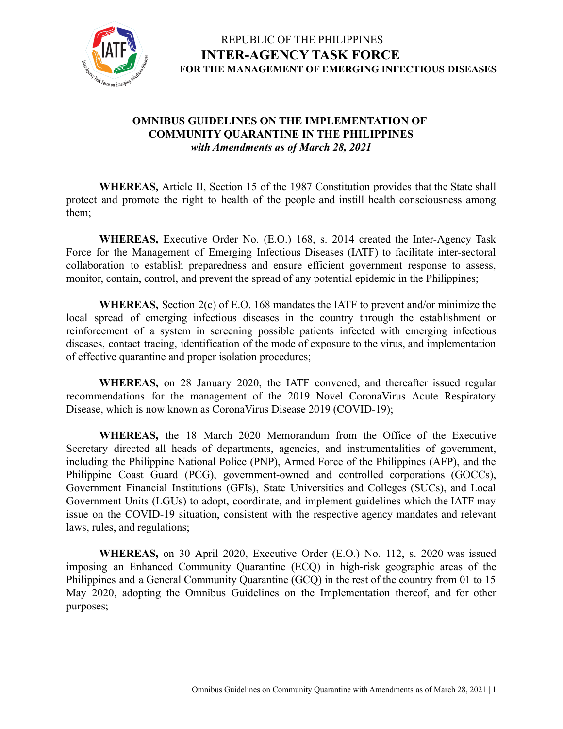

#### **OMNIBUS GUIDELINES ON THE IMPLEMENTATION OF COMMUNITY QUARANTINE IN THE PHILIPPINES** *with Amendments as of March 28, 2021*

**WHEREAS,** Article II, Section 15 of the 1987 Constitution provides that the State shall protect and promote the right to health of the people and instill health consciousness among them;

**WHEREAS,** Executive Order No. (E.O.) 168, s. 2014 created the Inter-Agency Task Force for the Management of Emerging Infectious Diseases (IATF) to facilitate inter-sectoral collaboration to establish preparedness and ensure efficient government response to assess, monitor, contain, control, and prevent the spread of any potential epidemic in the Philippines;

**WHEREAS,** Section 2(c) of E.O. 168 mandates the IATF to prevent and/or minimize the local spread of emerging infectious diseases in the country through the establishment or reinforcement of a system in screening possible patients infected with emerging infectious diseases, contact tracing, identification of the mode of exposure to the virus, and implementation of effective quarantine and proper isolation procedures;

**WHEREAS,** on 28 January 2020, the IATF convened, and thereafter issued regular recommendations for the management of the 2019 Novel CoronaVirus Acute Respiratory Disease, which is now known as CoronaVirus Disease 2019 (COVID-19);

**WHEREAS,** the 18 March 2020 Memorandum from the Office of the Executive Secretary directed all heads of departments, agencies, and instrumentalities of government, including the Philippine National Police (PNP), Armed Force of the Philippines (AFP), and the Philippine Coast Guard (PCG), government-owned and controlled corporations (GOCCs), Government Financial Institutions (GFIs), State Universities and Colleges (SUCs), and Local Government Units (LGUs) to adopt, coordinate, and implement guidelines which the IATF may issue on the COVID-19 situation, consistent with the respective agency mandates and relevant laws, rules, and regulations;

**WHEREAS,** on 30 April 2020, Executive Order (E.O.) No. 112, s. 2020 was issued imposing an Enhanced Community Quarantine (ECQ) in high-risk geographic areas of the Philippines and a General Community Quarantine (GCQ) in the rest of the country from 01 to 15 May 2020, adopting the Omnibus Guidelines on the Implementation thereof, and for other purposes;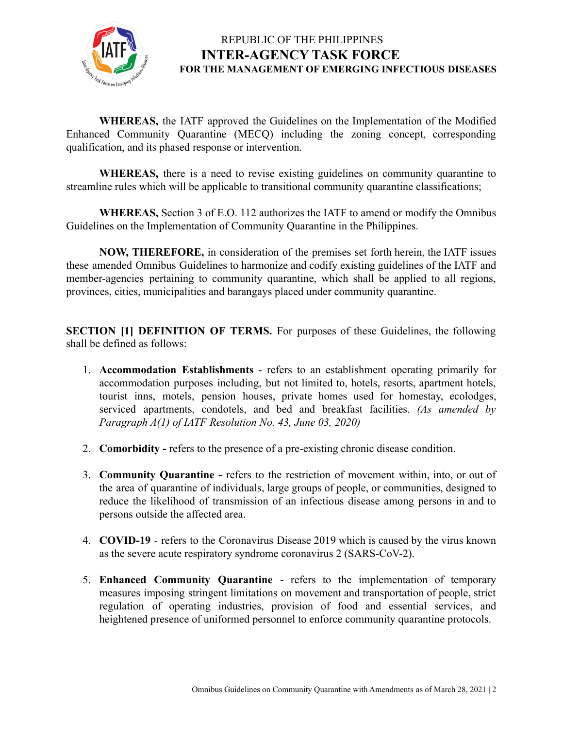

**WHEREAS,** the IATF approved the Guidelines on the Implementation of the Modified Enhanced Community Quarantine (MECQ) including the zoning concept, corresponding qualification, and its phased response or intervention.

**WHEREAS,** there is a need to revise existing guidelines on community quarantine to streamline rules which will be applicable to transitional community quarantine classifications;

**WHEREAS,** Section 3 of E.O. 112 authorizes the IATF to amend or modify the Omnibus Guidelines on the Implementation of Community Quarantine in the Philippines.

**NOW, THEREFORE,** in consideration of the premises set forth herein, the IATF issues these amended Omnibus Guidelines to harmonize and codify existing guidelines of the IATF and member-agencies pertaining to community quarantine, which shall be applied to all regions, provinces, cities, municipalities and barangays placed under community quarantine.

**SECTION [1] DEFINITION OF TERMS.** For purposes of these Guidelines, the following shall be defined as follows:

- 1. **Accommodation Establishments** refers to an establishment operating primarily for accommodation purposes including, but not limited to, hotels, resorts, apartment hotels, tourist inns, motels, pension houses, private homes used for homestay, ecolodges, serviced apartments, condotels, and bed and breakfast facilities. *(As amended by Paragraph A(1) of IATF Resolution No. 43, June 03, 2020)*
- 2. **Comorbidity -** refers to the presence of a pre-existing chronic disease condition.
- 3. **Community Quarantine -** refers to the restriction of movement within, into, or out of the area of quarantine of individuals, large groups of people, or communities, designed to reduce the likelihood of transmission of an infectious disease among persons in and to persons outside the affected area.
- 4. **COVID-19** refers to the Coronavirus Disease 2019 which is caused by the virus known as the severe acute respiratory syndrome coronavirus 2 (SARS-CoV-2).
- 5. **Enhanced Community Quarantine** refers to the implementation of temporary measures imposing stringent limitations on movement and transportation of people, strict regulation of operating industries, provision of food and essential services, and heightened presence of uniformed personnel to enforce community quarantine protocols.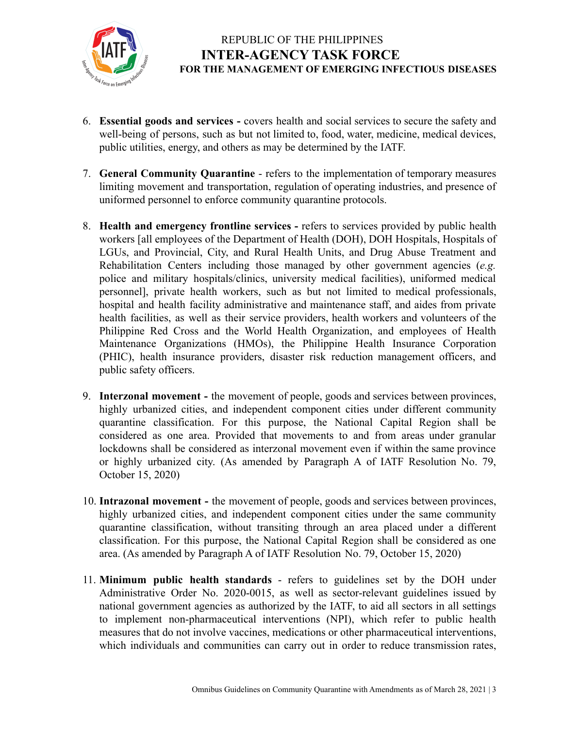

- 6. **Essential goods and services -** covers health and social services to secure the safety and well-being of persons, such as but not limited to, food, water, medicine, medical devices, public utilities, energy, and others as may be determined by the IATF.
- 7. **General Community Quarantine** refers to the implementation of temporary measures limiting movement and transportation, regulation of operating industries, and presence of uniformed personnel to enforce community quarantine protocols.
- 8. **Health and emergency frontline services -** refers to services provided by public health workers [all employees of the Department of Health (DOH), DOH Hospitals, Hospitals of LGUs, and Provincial, City, and Rural Health Units, and Drug Abuse Treatment and Rehabilitation Centers including those managed by other government agencies (*e.g.* police and military hospitals/clinics, university medical facilities), uniformed medical personnel], private health workers, such as but not limited to medical professionals, hospital and health facility administrative and maintenance staff, and aides from private health facilities, as well as their service providers, health workers and volunteers of the Philippine Red Cross and the World Health Organization, and employees of Health Maintenance Organizations (HMOs), the Philippine Health Insurance Corporation (PHIC), health insurance providers, disaster risk reduction management officers, and public safety officers.
- 9. **Interzonal movement -** the movement of people, goods and services between provinces, highly urbanized cities, and independent component cities under different community quarantine classification. For this purpose, the National Capital Region shall be considered as one area. Provided that movements to and from areas under granular lockdowns shall be considered as interzonal movement even if within the same province or highly urbanized city. (As amended by Paragraph A of IATF Resolution No. 79, October 15, 2020)
- 10. **Intrazonal movement -** the movement of people, goods and services between provinces, highly urbanized cities, and independent component cities under the same community quarantine classification, without transiting through an area placed under a different classification. For this purpose, the National Capital Region shall be considered as one area. (As amended by Paragraph A of IATF Resolution No. 79, October 15, 2020)
- 11. **Minimum public health standards** refers to guidelines set by the DOH under Administrative Order No. 2020-0015, as well as sector-relevant guidelines issued by national government agencies as authorized by the IATF, to aid all sectors in all settings to implement non-pharmaceutical interventions (NPI), which refer to public health measures that do not involve vaccines, medications or other pharmaceutical interventions, which individuals and communities can carry out in order to reduce transmission rates,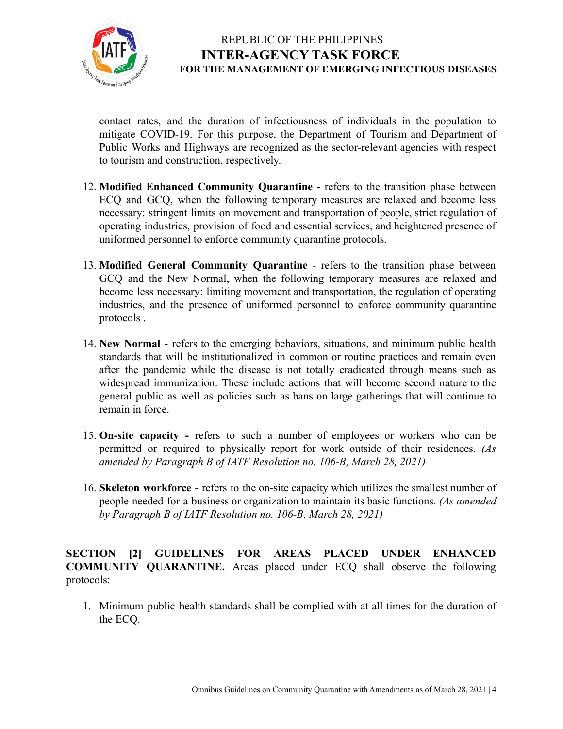

contact rates, and the duration of infectiousness of individuals in the population to mitigate COVID-19. For this purpose, the Department of Tourism and Department of Public Works and Highways are recognized as the sector-relevant agencies with respect to tourism and construction, respectively.

- 12. **Modified Enhanced Community Quarantine -** refers to the transition phase between ECQ and GCQ, when the following temporary measures are relaxed and become less necessary: stringent limits on movement and transportation of people, strict regulation of operating industries, provision of food and essential services, and heightened presence of uniformed personnel to enforce community quarantine protocols.
- 13. **Modified General Community Quarantine** refers to the transition phase between GCQ and the New Normal, when the following temporary measures are relaxed and become less necessary: limiting movement and transportation, the regulation of operating industries, and the presence of uniformed personnel to enforce community quarantine protocols .
- 14. **New Normal** refers to the emerging behaviors, situations, and minimum public health standards that will be institutionalized in common or routine practices and remain even after the pandemic while the disease is not totally eradicated through means such as widespread immunization. These include actions that will become second nature to the general public as well as policies such as bans on large gatherings that will continue to remain in force.
- 15. **On-site capacity -** refers to such a number of employees or workers who can be permitted or required to physically report for work outside of their residences. *(As amended by Paragraph B of IATF Resolution no. 106-B, March 28, 2021)*
- 16. **Skeleton workforce** refers to the on-site capacity which utilizes the [smallest](https://dictionary.cambridge.org/us/dictionary/english/small) [number](https://dictionary.cambridge.org/us/dictionary/english/number) of [people](https://dictionary.cambridge.org/us/dictionary/english/people) [needed](https://dictionary.cambridge.org/us/dictionary/english/needed) for a [business](https://dictionary.cambridge.org/us/dictionary/english/business) or [organization](https://dictionary.cambridge.org/us/dictionary/english/organization) to maintain its basic functions. *(As amended by Paragraph B of IATF Resolution no. 106-B, March 28, 2021)*

**SECTION [2] GUIDELINES FOR AREAS PLACED UNDER ENHANCED COMMUNITY QUARANTINE.** Areas placed under ECQ shall observe the following protocols:

1. Minimum public health standards shall be complied with at all times for the duration of the ECQ.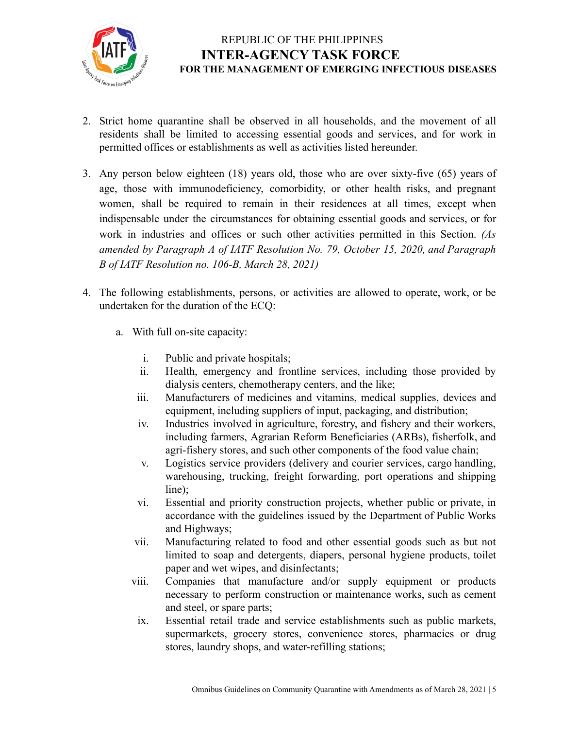

- 2. Strict home quarantine shall be observed in all households, and the movement of all residents shall be limited to accessing essential goods and services, and for work in permitted offices or establishments as well as activities listed hereunder.
- 3. Any person below eighteen (18) years old, those who are over sixty-five (65) years of age, those with immunodeficiency, comorbidity, or other health risks, and pregnant women, shall be required to remain in their residences at all times, except when indispensable under the circumstances for obtaining essential goods and services, or for work in industries and offices or such other activities permitted in this Section. *(As amended by Paragraph A of IATF Resolution No. 79, October 15, 2020, and Paragraph B of IATF Resolution no. 106-B, March 28, 2021)*
- 4. The following establishments, persons, or activities are allowed to operate, work, or be undertaken for the duration of the ECQ:
	- a. With full on-site capacity:
		- i. Public and private hospitals;
		- ii. Health, emergency and frontline services, including those provided by dialysis centers, chemotherapy centers, and the like;
		- iii. Manufacturers of medicines and vitamins, medical supplies, devices and equipment, including suppliers of input, packaging, and distribution;
		- iv. Industries involved in agriculture, forestry, and fishery and their workers, including farmers, Agrarian Reform Beneficiaries (ARBs), fisherfolk, and agri-fishery stores, and such other components of the food value chain;
		- v. Logistics service providers (delivery and courier services, cargo handling, warehousing, trucking, freight forwarding, port operations and shipping line);
		- vi. Essential and priority construction projects, whether public or private, in accordance with the guidelines issued by the Department of Public Works and Highways;
		- vii. Manufacturing related to food and other essential goods such as but not limited to soap and detergents, diapers, personal hygiene products, toilet paper and wet wipes, and disinfectants;
		- viii. Companies that manufacture and/or supply equipment or products necessary to perform construction or maintenance works, such as cement and steel, or spare parts;
		- ix. Essential retail trade and service establishments such as public markets, supermarkets, grocery stores, convenience stores, pharmacies or drug stores, laundry shops, and water-refilling stations;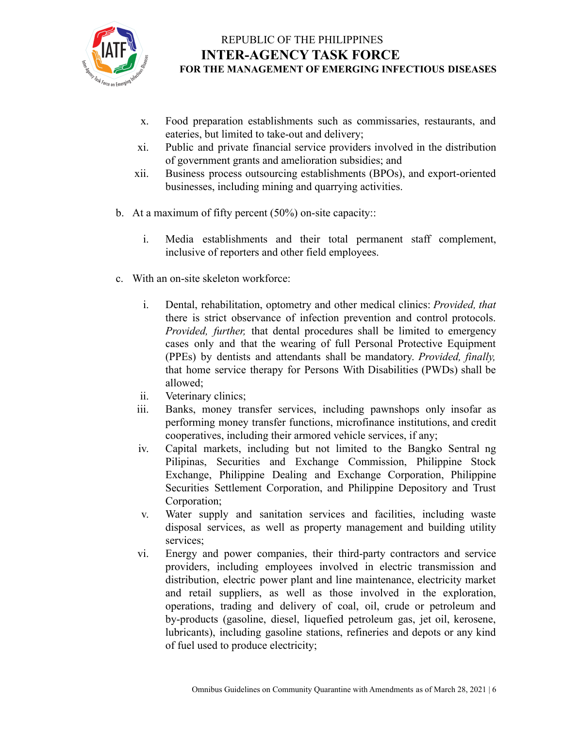

- x. Food preparation establishments such as commissaries, restaurants, and eateries, but limited to take-out and delivery;
- xi. Public and private financial service providers involved in the distribution of government grants and amelioration subsidies; and
- xii. Business process outsourcing establishments (BPOs), and export-oriented businesses, including mining and quarrying activities.
- b. At a maximum of fifty percent (50%) on-site capacity::
	- i. Media establishments and their total permanent staff complement, inclusive of reporters and other field employees.
- c. With an on-site skeleton workforce:
	- i. Dental, rehabilitation, optometry and other medical clinics: *Provided, that* there is strict observance of infection prevention and control protocols. *Provided, further,* that dental procedures shall be limited to emergency cases only and that the wearing of full Personal Protective Equipment (PPEs) by dentists and attendants shall be mandatory. *Provided, finally,* that home service therapy for Persons With Disabilities (PWDs) shall be allowed;
	- ii. Veterinary clinics;
	- iii. Banks, money transfer services, including pawnshops only insofar as performing money transfer functions, microfinance institutions, and credit cooperatives, including their armored vehicle services, if any;
	- iv. Capital markets, including but not limited to the Bangko Sentral ng Pilipinas, Securities and Exchange Commission, Philippine Stock Exchange, Philippine Dealing and Exchange Corporation, Philippine Securities Settlement Corporation, and Philippine Depository and Trust Corporation;
	- v. Water supply and sanitation services and facilities, including waste disposal services, as well as property management and building utility services;
	- vi. Energy and power companies, their third-party contractors and service providers, including employees involved in electric transmission and distribution, electric power plant and line maintenance, electricity market and retail suppliers, as well as those involved in the exploration, operations, trading and delivery of coal, oil, crude or petroleum and by-products (gasoline, diesel, liquefied petroleum gas, jet oil, kerosene, lubricants), including gasoline stations, refineries and depots or any kind of fuel used to produce electricity;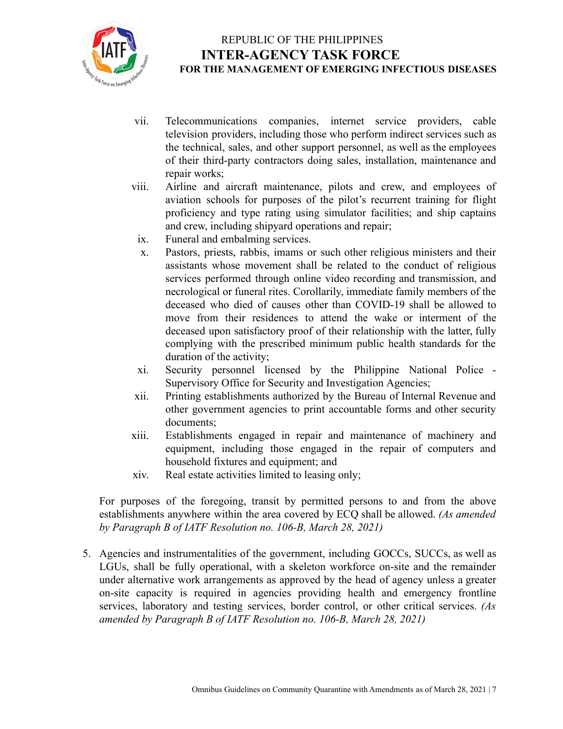

- vii. Telecommunications companies, internet service providers, cable television providers, including those who perform indirect services such as the technical, sales, and other support personnel, as well as the employees of their third-party contractors doing sales, installation, maintenance and repair works;
- viii. Airline and aircraft maintenance, pilots and crew, and employees of aviation schools for purposes of the pilot's recurrent training for flight proficiency and type rating using simulator facilities; and ship captains and crew, including shipyard operations and repair;
- ix. Funeral and embalming services.
- x. Pastors, priests, rabbis, imams or such other religious ministers and their assistants whose movement shall be related to the conduct of religious services performed through online video recording and transmission, and necrological or funeral rites. Corollarily, immediate family members of the deceased who died of causes other than COVID-19 shall be allowed to move from their residences to attend the wake or interment of the deceased upon satisfactory proof of their relationship with the latter, fully complying with the prescribed minimum public health standards for the duration of the activity;
- xi. Security personnel licensed by the Philippine National Police Supervisory Office for Security and Investigation Agencies;
- xii. Printing establishments authorized by the Bureau of Internal Revenue and other government agencies to print accountable forms and other security documents;
- xiii. Establishments engaged in repair and maintenance of machinery and equipment, including those engaged in the repair of computers and household fixtures and equipment; and
- xiv. Real estate activities limited to leasing only;

For purposes of the foregoing, transit by permitted persons to and from the above establishments anywhere within the area covered by ECQ shall be allowed. *(As amended by Paragraph B of IATF Resolution no. 106-B, March 28, 2021)*

5. Agencies and instrumentalities of the government, including GOCCs, SUCCs, as well as LGUs, shall be fully operational, with a skeleton workforce on-site and the remainder under alternative work arrangements as approved by the head of agency unless a greater on-site capacity is required in agencies providing health and emergency frontline services, laboratory and testing services, border control, or other critical services. *(As amended by Paragraph B of IATF Resolution no. 106-B, March 28, 2021)*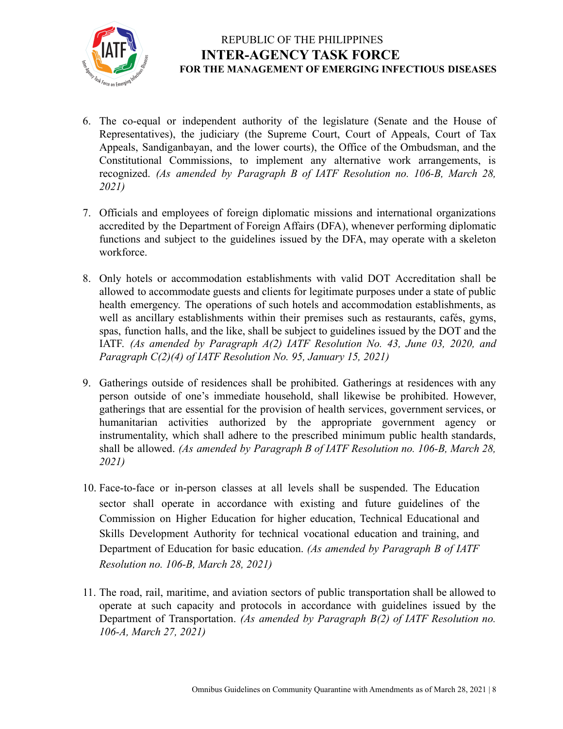

- 6. The co-equal or independent authority of the legislature (Senate and the House of Representatives), the judiciary (the Supreme Court, Court of Appeals, Court of Tax Appeals, Sandiganbayan, and the lower courts), the Office of the Ombudsman, and the Constitutional Commissions, to implement any alternative work arrangements, is recognized. *(As amended by Paragraph B of IATF Resolution no. 106-B, March 28, 2021)*
- 7. Officials and employees of foreign diplomatic missions and international organizations accredited by the Department of Foreign Affairs (DFA), whenever performing diplomatic functions and subject to the guidelines issued by the DFA, may operate with a skeleton workforce.
- 8. Only hotels or accommodation establishments with valid DOT Accreditation shall be allowed to accommodate guests and clients for legitimate purposes under a state of public health emergency. The operations of such hotels and accommodation establishments, as well as ancillary establishments within their premises such as restaurants, cafés, gyms, spas, function halls, and the like, shall be subject to guidelines issued by the DOT and the IATF. *(As amended by Paragraph A(2) IATF Resolution No. 43, June 03, 2020, and Paragraph C(2)(4) of IATF Resolution No. 95, January 15, 2021)*
- 9. Gatherings outside of residences shall be prohibited. Gatherings at residences with any person outside of one's immediate household, shall likewise be prohibited. However, gatherings that are essential for the provision of health services, government services, or humanitarian activities authorized by the appropriate government agency or instrumentality, which shall adhere to the prescribed minimum public health standards, shall be allowed. *(As amended by Paragraph B of IATF Resolution no. 106-B, March 28, 2021)*
- 10. Face-to-face or in-person classes at all levels shall be suspended. The Education sector shall operate in accordance with existing and future guidelines of the Commission on Higher Education for higher education, Technical Educational and Skills Development Authority for technical vocational education and training, and Department of Education for basic education. *(As amended by Paragraph B of IATF Resolution no. 106-B, March 28, 2021)*
- 11. The road, rail, maritime, and aviation sectors of public transportation shall be allowed to operate at such capacity and protocols in accordance with guidelines issued by the Department of Transportation. *(As amended by Paragraph B(2) of IATF Resolution no. 106-A, March 27, 2021)*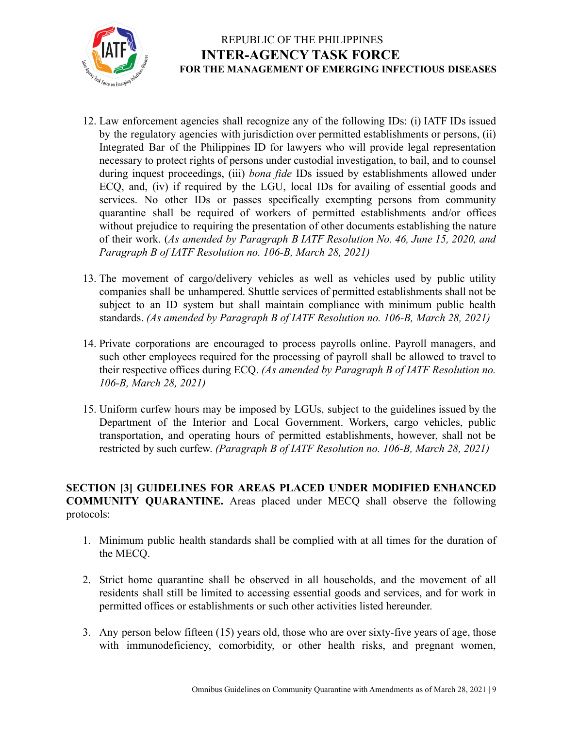

- 12. Law enforcement agencies shall recognize any of the following IDs: (i) IATF IDs issued by the regulatory agencies with jurisdiction over permitted establishments or persons, (ii) Integrated Bar of the Philippines ID for lawyers who will provide legal representation necessary to protect rights of persons under custodial investigation, to bail, and to counsel during inquest proceedings, (iii) *bona fide* IDs issued by establishments allowed under ECQ, and, (iv) if required by the LGU, local IDs for availing of essential goods and services. No other IDs or passes specifically exempting persons from community quarantine shall be required of workers of permitted establishments and/or offices without prejudice to requiring the presentation of other documents establishing the nature of their work. (*As amended by Paragraph B IATF Resolution No. 46, June 15, 2020, and Paragraph B of IATF Resolution no. 106-B, March 28, 2021)*
- 13. The movement of cargo/delivery vehicles as well as vehicles used by public utility companies shall be unhampered. Shuttle services of permitted establishments shall not be subject to an ID system but shall maintain compliance with minimum public health standards. *(As amended by Paragraph B of IATF Resolution no. 106-B, March 28, 2021)*
- 14. Private corporations are encouraged to process payrolls online. Payroll managers, and such other employees required for the processing of payroll shall be allowed to travel to their respective offices during ECQ. *(As amended by Paragraph B of IATF Resolution no. 106-B, March 28, 2021)*
- 15. Uniform curfew hours may be imposed by LGUs, subject to the guidelines issued by the Department of the Interior and Local Government. Workers, cargo vehicles, public transportation, and operating hours of permitted establishments, however, shall not be restricted by such curfew. *(Paragraph B of IATF Resolution no. 106-B, March 28, 2021)*

#### **SECTION [3] GUIDELINES FOR AREAS PLACED UNDER MODIFIED ENHANCED COMMUNITY QUARANTINE.** Areas placed under MECQ shall observe the following protocols:

- 1. Minimum public health standards shall be complied with at all times for the duration of the MECQ.
- 2. Strict home quarantine shall be observed in all households, and the movement of all residents shall still be limited to accessing essential goods and services, and for work in permitted offices or establishments or such other activities listed hereunder.
- 3. Any person below fifteen (15) years old, those who are over sixty-five years of age, those with immunodeficiency, comorbidity, or other health risks, and pregnant women,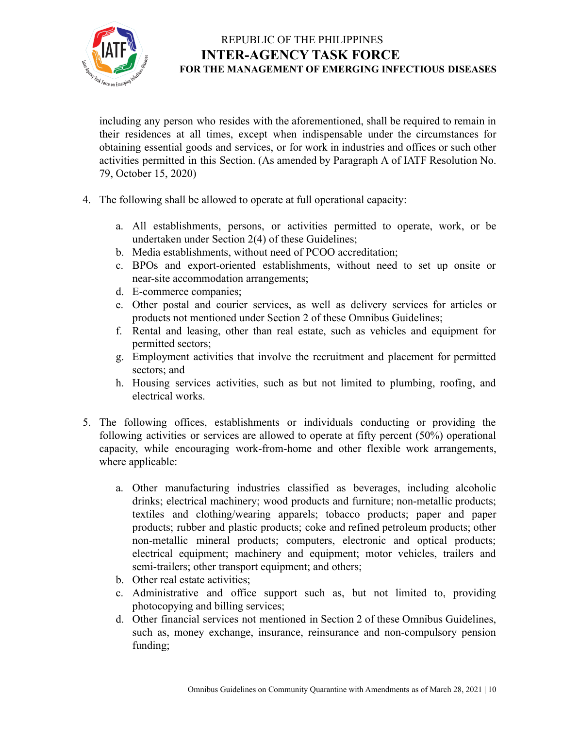

including any person who resides with the aforementioned, shall be required to remain in their residences at all times, except when indispensable under the circumstances for obtaining essential goods and services, or for work in industries and offices or such other activities permitted in this Section. (As amended by Paragraph A of IATF Resolution No. 79, October 15, 2020)

- 4. The following shall be allowed to operate at full operational capacity:
	- a. All establishments, persons, or activities permitted to operate, work, or be undertaken under Section 2(4) of these Guidelines;
	- b. Media establishments, without need of PCOO accreditation;
	- c. BPOs and export-oriented establishments, without need to set up onsite or near-site accommodation arrangements;
	- d. E-commerce companies;
	- e. Other postal and courier services, as well as delivery services for articles or products not mentioned under Section 2 of these Omnibus Guidelines;
	- f. Rental and leasing, other than real estate, such as vehicles and equipment for permitted sectors;
	- g. Employment activities that involve the recruitment and placement for permitted sectors; and
	- h. Housing services activities, such as but not limited to plumbing, roofing, and electrical works.
- 5. The following offices, establishments or individuals conducting or providing the following activities or services are allowed to operate at fifty percent (50%) operational capacity, while encouraging work-from-home and other flexible work arrangements, where applicable:
	- a. Other manufacturing industries classified as beverages, including alcoholic drinks; electrical machinery; wood products and furniture; non-metallic products; textiles and clothing/wearing apparels; tobacco products; paper and paper products; rubber and plastic products; coke and refined petroleum products; other non-metallic mineral products; computers, electronic and optical products; electrical equipment; machinery and equipment; motor vehicles, trailers and semi-trailers; other transport equipment; and others;
	- b. Other real estate activities;
	- c. Administrative and office support such as, but not limited to, providing photocopying and billing services;
	- d. Other financial services not mentioned in Section 2 of these Omnibus Guidelines, such as, money exchange, insurance, reinsurance and non-compulsory pension funding;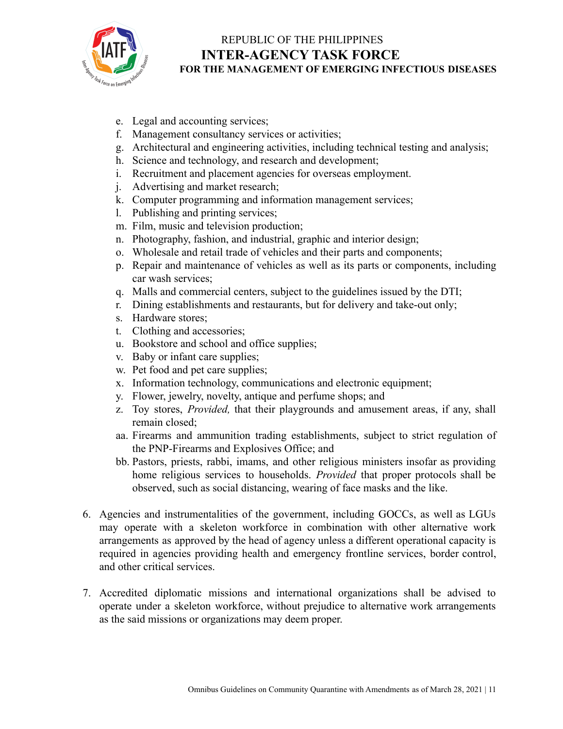

- e. Legal and accounting services;
- f. Management consultancy services or activities;
- g. Architectural and engineering activities, including technical testing and analysis;
- h. Science and technology, and research and development;
- i. Recruitment and placement agencies for overseas employment.
- j. Advertising and market research;
- k. Computer programming and information management services;
- l. Publishing and printing services;
- m. Film, music and television production;
- n. Photography, fashion, and industrial, graphic and interior design;
- o. Wholesale and retail trade of vehicles and their parts and components;
- p. Repair and maintenance of vehicles as well as its parts or components, including car wash services;
- q. Malls and commercial centers, subject to the guidelines issued by the DTI;
- r. Dining establishments and restaurants, but for delivery and take-out only;
- s. Hardware stores;
- t. Clothing and accessories;
- u. Bookstore and school and office supplies;
- v. Baby or infant care supplies;
- w. Pet food and pet care supplies;
- x. Information technology, communications and electronic equipment;
- y. Flower, jewelry, novelty, antique and perfume shops; and
- z. Toy stores, *Provided,* that their playgrounds and amusement areas, if any, shall remain closed;
- aa. Firearms and ammunition trading establishments, subject to strict regulation of the PNP-Firearms and Explosives Office; and
- bb. Pastors, priests, rabbi, imams, and other religious ministers insofar as providing home religious services to households. *Provided* that proper protocols shall be observed, such as social distancing, wearing of face masks and the like.
- 6. Agencies and instrumentalities of the government, including GOCCs, as well as LGUs may operate with a skeleton workforce in combination with other alternative work arrangements as approved by the head of agency unless a different operational capacity is required in agencies providing health and emergency frontline services, border control, and other critical services.
- 7. Accredited diplomatic missions and international organizations shall be advised to operate under a skeleton workforce, without prejudice to alternative work arrangements as the said missions or organizations may deem proper.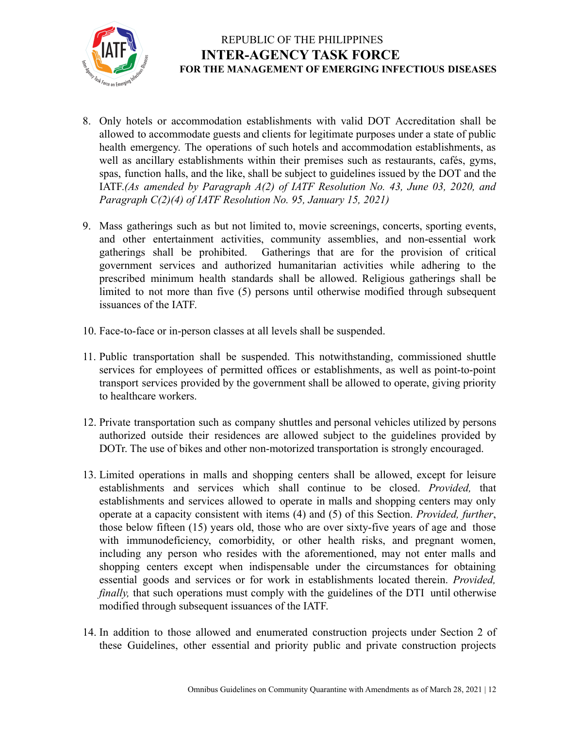

- 8. Only hotels or accommodation establishments with valid DOT Accreditation shall be allowed to accommodate guests and clients for legitimate purposes under a state of public health emergency. The operations of such hotels and accommodation establishments, as well as ancillary establishments within their premises such as restaurants, cafés, gyms, spas, function halls, and the like, shall be subject to guidelines issued by the DOT and the IATF.*(As amended by Paragraph A(2) of IATF Resolution No. 43, June 03, 2020, and Paragraph C(2)(4) of IATF Resolution No. 95, January 15, 2021)*
- 9. Mass gatherings such as but not limited to, movie screenings, concerts, sporting events, and other entertainment activities, community assemblies, and non-essential work gatherings shall be prohibited. Gatherings that are for the provision of critical government services and authorized humanitarian activities while adhering to the prescribed minimum health standards shall be allowed. Religious gatherings shall be limited to not more than five (5) persons until otherwise modified through subsequent issuances of the IATF.
- 10. Face-to-face or in-person classes at all levels shall be suspended.
- 11. Public transportation shall be suspended. This notwithstanding, commissioned shuttle services for employees of permitted offices or establishments, as well as point-to-point transport services provided by the government shall be allowed to operate, giving priority to healthcare workers.
- 12. Private transportation such as company shuttles and personal vehicles utilized by persons authorized outside their residences are allowed subject to the guidelines provided by DOTr. The use of bikes and other non-motorized transportation is strongly encouraged.
- 13. Limited operations in malls and shopping centers shall be allowed, except for leisure establishments and services which shall continue to be closed. *Provided,* that establishments and services allowed to operate in malls and shopping centers may only operate at a capacity consistent with items (4) and (5) of this Section. *Provided, further*, those below fifteen (15) years old, those who are over sixty-five years of age and those with immunodeficiency, comorbidity, or other health risks, and pregnant women, including any person who resides with the aforementioned, may not enter malls and shopping centers except when indispensable under the circumstances for obtaining essential goods and services or for work in establishments located therein. *Provided, finally*, that such operations must comply with the guidelines of the DTI until otherwise modified through subsequent issuances of the IATF.
- 14. In addition to those allowed and enumerated construction projects under Section 2 of these Guidelines, other essential and priority public and private construction projects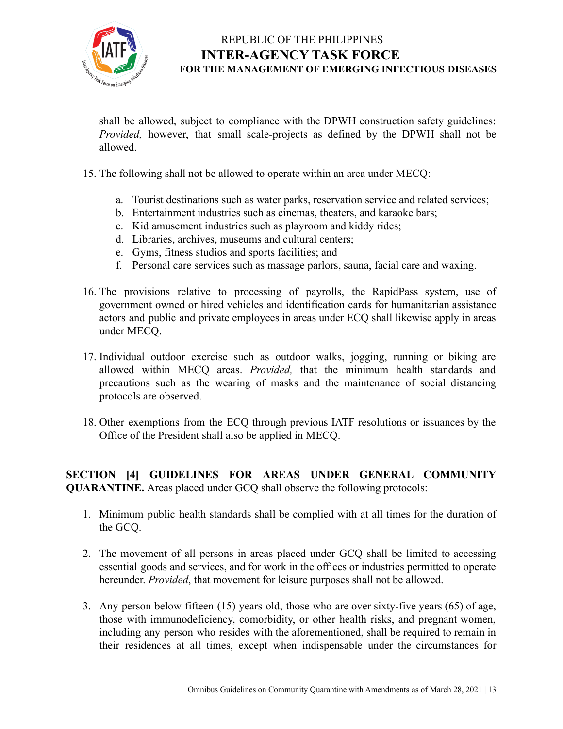

shall be allowed, subject to compliance with the DPWH construction safety guidelines: *Provided,* however, that small scale-projects as defined by the DPWH shall not be allowed.

- 15. The following shall not be allowed to operate within an area under MECQ:
	- a. Tourist destinations such as water parks, reservation service and related services;
	- b. Entertainment industries such as cinemas, theaters, and karaoke bars;
	- c. Kid amusement industries such as playroom and kiddy rides;
	- d. Libraries, archives, museums and cultural centers;
	- e. Gyms, fitness studios and sports facilities; and
	- f. Personal care services such as massage parlors, sauna, facial care and waxing.
- 16. The provisions relative to processing of payrolls, the RapidPass system, use of government owned or hired vehicles and identification cards for humanitarian assistance actors and public and private employees in areas under ECQ shall likewise apply in areas under MECQ.
- 17. Individual outdoor exercise such as outdoor walks, jogging, running or biking are allowed within MECQ areas. *Provided,* that the minimum health standards and precautions such as the wearing of masks and the maintenance of social distancing protocols are observed.
- 18. Other exemptions from the ECQ through previous IATF resolutions or issuances by the Office of the President shall also be applied in MECQ.

#### **SECTION [4] GUIDELINES FOR AREAS UNDER GENERAL COMMUNITY QUARANTINE.** Areas placed under GCQ shall observe the following protocols:

- 1. Minimum public health standards shall be complied with at all times for the duration of the GCQ.
- 2. The movement of all persons in areas placed under GCQ shall be limited to accessing essential goods and services, and for work in the offices or industries permitted to operate hereunder. *Provided*, that movement for leisure purposes shall not be allowed.
- 3. Any person below fifteen (15) years old, those who are over sixty-five years (65) of age, those with immunodeficiency, comorbidity, or other health risks, and pregnant women, including any person who resides with the aforementioned, shall be required to remain in their residences at all times, except when indispensable under the circumstances for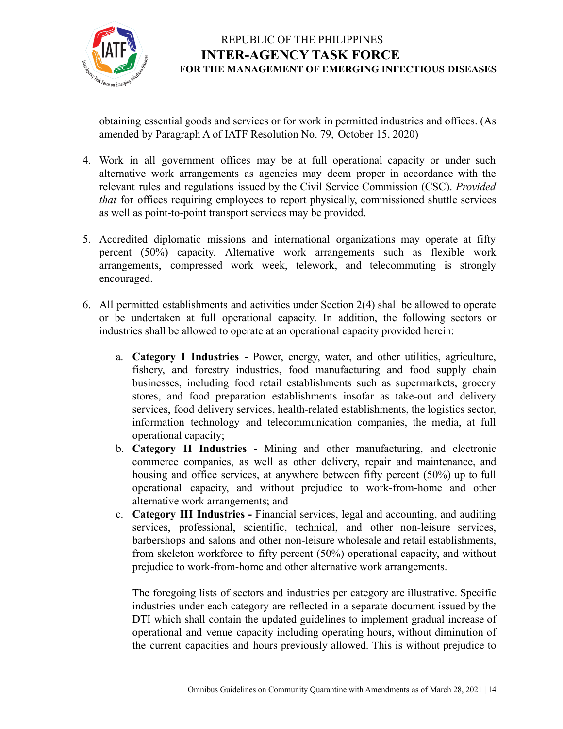

obtaining essential goods and services or for work in permitted industries and offices. (As amended by Paragraph A of IATF Resolution No. 79, October 15, 2020)

- 4. Work in all government offices may be at full operational capacity or under such alternative work arrangements as agencies may deem proper in accordance with the relevant rules and regulations issued by the Civil Service Commission (CSC). *Provided that* for offices requiring employees to report physically, commissioned shuttle services as well as point-to-point transport services may be provided.
- 5. Accredited diplomatic missions and international organizations may operate at fifty percent (50%) capacity. Alternative work arrangements such as flexible work arrangements, compressed work week, telework, and telecommuting is strongly encouraged.
- 6. All permitted establishments and activities under Section 2(4) shall be allowed to operate or be undertaken at full operational capacity. In addition, the following sectors or industries shall be allowed to operate at an operational capacity provided herein:
	- a. **Category I Industries -** Power, energy, water, and other utilities, agriculture, fishery, and forestry industries, food manufacturing and food supply chain businesses, including food retail establishments such as supermarkets, grocery stores, and food preparation establishments insofar as take-out and delivery services, food delivery services, health-related establishments, the logistics sector, information technology and telecommunication companies, the media, at full operational capacity;
	- b. **Category II Industries -** Mining and other manufacturing, and electronic commerce companies, as well as other delivery, repair and maintenance, and housing and office services, at anywhere between fifty percent (50%) up to full operational capacity, and without prejudice to work-from-home and other alternative work arrangements; and
	- c. **Category III Industries -** Financial services, legal and accounting, and auditing services, professional, scientific, technical, and other non-leisure services, barbershops and salons and other non-leisure wholesale and retail establishments, from skeleton workforce to fifty percent (50%) operational capacity, and without prejudice to work-from-home and other alternative work arrangements.

The foregoing lists of sectors and industries per category are illustrative. Specific industries under each category are reflected in a separate document issued by the DTI which shall contain the updated guidelines to implement gradual increase of operational and venue capacity including operating hours, without diminution of the current capacities and hours previously allowed. This is without prejudice to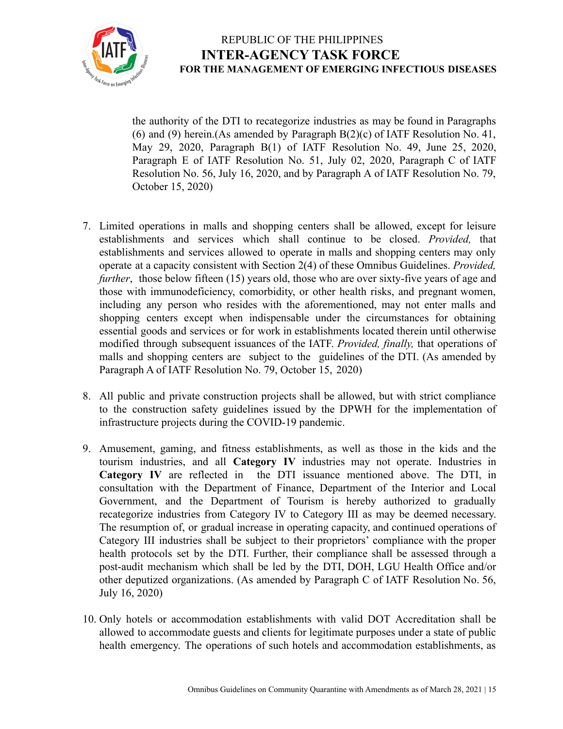

the authority of the DTI to recategorize industries as may be found in Paragraphs (6) and (9) herein.(As amended by Paragraph  $B(2)(c)$  of IATF Resolution No. 41, May 29, 2020, Paragraph B(1) of IATF Resolution No. 49, June 25, 2020, Paragraph E of IATF Resolution No. 51, July 02, 2020, Paragraph C of IATF Resolution No. 56, July 16, 2020, and by Paragraph A of IATF Resolution No. 79, October 15, 2020)

- 7. Limited operations in malls and shopping centers shall be allowed, except for leisure establishments and services which shall continue to be closed. *Provided,* that establishments and services allowed to operate in malls and shopping centers may only operate at a capacity consistent with Section 2(4) of these Omnibus Guidelines. *Provided, further*, those below fifteen (15) years old, those who are over sixty-five years of age and those with immunodeficiency, comorbidity, or other health risks, and pregnant women, including any person who resides with the aforementioned, may not enter malls and shopping centers except when indispensable under the circumstances for obtaining essential goods and services or for work in establishments located therein until otherwise modified through subsequent issuances of the IATF. *Provided, finally,* that operations of malls and shopping centers are subject to the guidelines of the DTI. (As amended by Paragraph A of IATF Resolution No. 79, October 15, 2020)
- 8. All public and private construction projects shall be allowed, but with strict compliance to the construction safety guidelines issued by the DPWH for the implementation of infrastructure projects during the COVID-19 pandemic.
- 9. Amusement, gaming, and fitness establishments, as well as those in the kids and the tourism industries, and all **Category IV** industries may not operate. Industries in **Category IV** are reflected in the DTI issuance mentioned above. The DTI, in consultation with the Department of Finance, Department of the Interior and Local Government, and the Department of Tourism is hereby authorized to gradually recategorize industries from Category IV to Category III as may be deemed necessary. The resumption of, or gradual increase in operating capacity, and continued operations of Category III industries shall be subject to their proprietors' compliance with the proper health protocols set by the DTI. Further, their compliance shall be assessed through a post-audit mechanism which shall be led by the DTI, DOH, LGU Health Office and/or other deputized organizations. (As amended by Paragraph C of IATF Resolution No. 56, July 16, 2020)
- 10. Only hotels or accommodation establishments with valid DOT Accreditation shall be allowed to accommodate guests and clients for legitimate purposes under a state of public health emergency. The operations of such hotels and accommodation establishments, as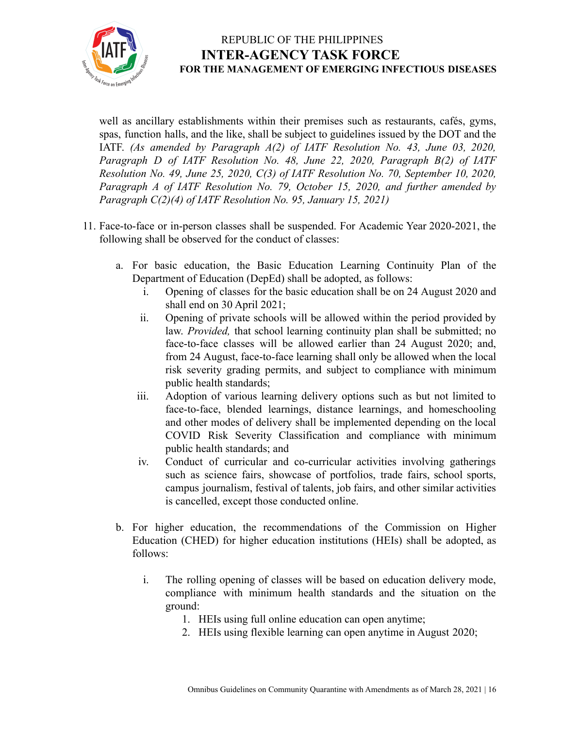

well as ancillary establishments within their premises such as restaurants, cafés, gyms, spas, function halls, and the like, shall be subject to guidelines issued by the DOT and the IATF. *(As amended by Paragraph A(2) of IATF Resolution No. 43, June 03, 2020, Paragraph D of IATF Resolution No. 48, June 22, 2020, Paragraph B(2) of IATF Resolution No. 49, June 25, 2020, C(3) of IATF Resolution No. 70, September 10, 2020, Paragraph A of IATF Resolution No. 79, October 15, 2020, and further amended by Paragraph C(2)(4) of IATF Resolution No. 95, January 15, 2021)*

- 11. Face-to-face or in-person classes shall be suspended. For Academic Year 2020-2021, the following shall be observed for the conduct of classes:
	- a. For basic education, the Basic Education Learning Continuity Plan of the Department of Education (DepEd) shall be adopted, as follows:
		- i. Opening of classes for the basic education shall be on 24 August 2020 and shall end on 30 April 2021;
		- ii. Opening of private schools will be allowed within the period provided by law. *Provided,* that school learning continuity plan shall be submitted; no face-to-face classes will be allowed earlier than 24 August 2020; and, from 24 August, face-to-face learning shall only be allowed when the local risk severity grading permits, and subject to compliance with minimum public health standards;
		- iii. Adoption of various learning delivery options such as but not limited to face-to-face, blended learnings, distance learnings, and homeschooling and other modes of delivery shall be implemented depending on the local COVID Risk Severity Classification and compliance with minimum public health standards; and
		- iv. Conduct of curricular and co-curricular activities involving gatherings such as science fairs, showcase of portfolios, trade fairs, school sports, campus journalism, festival of talents, job fairs, and other similar activities is cancelled, except those conducted online.
	- b. For higher education, the recommendations of the Commission on Higher Education (CHED) for higher education institutions (HEIs) shall be adopted, as follows:
		- i. The rolling opening of classes will be based on education delivery mode, compliance with minimum health standards and the situation on the ground:
			- 1. HEIs using full online education can open anytime;
			- 2. HEIs using flexible learning can open anytime in August 2020;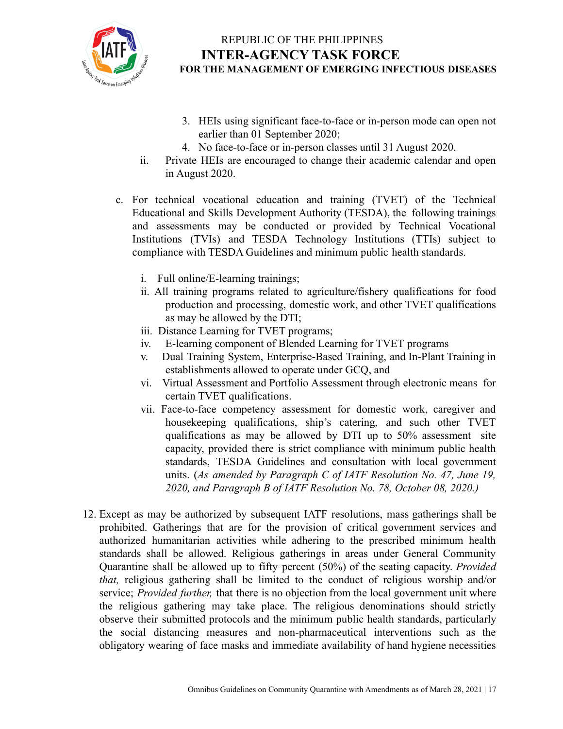

- 3. HEIs using significant face-to-face or in-person mode can open not earlier than 01 September 2020;
- 4. No face-to-face or in-person classes until 31 August 2020.
- ii. Private HEIs are encouraged to change their academic calendar and open in August 2020.
- c. For technical vocational education and training (TVET) of the Technical Educational and Skills Development Authority (TESDA), the following trainings and assessments may be conducted or provided by Technical Vocational Institutions (TVIs) and TESDA Technology Institutions (TTIs) subject to compliance with TESDA Guidelines and minimum public health standards.
	- i. Full online/E-learning trainings;
	- ii. All training programs related to agriculture/fishery qualifications for food production and processing, domestic work, and other TVET qualifications as may be allowed by the DTI;
	- iii. Distance Learning for TVET programs;
	- iv. E-learning component of Blended Learning for TVET programs
	- v. Dual Training System, Enterprise-Based Training, and In-Plant Training in establishments allowed to operate under GCQ, and
	- vi. Virtual Assessment and Portfolio Assessment through electronic means for certain TVET qualifications.
	- vii. Face-to-face competency assessment for domestic work, caregiver and housekeeping qualifications, ship's catering, and such other TVET qualifications as may be allowed by DTI up to 50% assessment site capacity, provided there is strict compliance with minimum public health standards, TESDA Guidelines and consultation with local government units. (*As amended by Paragraph C of IATF Resolution No. 47, June 19, 2020, and Paragraph B of IATF Resolution No. 78, October 08, 2020.)*
- 12. Except as may be authorized by subsequent IATF resolutions, mass gatherings shall be prohibited. Gatherings that are for the provision of critical government services and authorized humanitarian activities while adhering to the prescribed minimum health standards shall be allowed. Religious gatherings in areas under General Community Quarantine shall be allowed up to fifty percent (50%) of the seating capacity. *Provided that,* religious gathering shall be limited to the conduct of religious worship and/or service; *Provided further,* that there is no objection from the local government unit where the religious gathering may take place. The religious denominations should strictly observe their submitted protocols and the minimum public health standards, particularly the social distancing measures and non-pharmaceutical interventions such as the obligatory wearing of face masks and immediate availability of hand hygiene necessities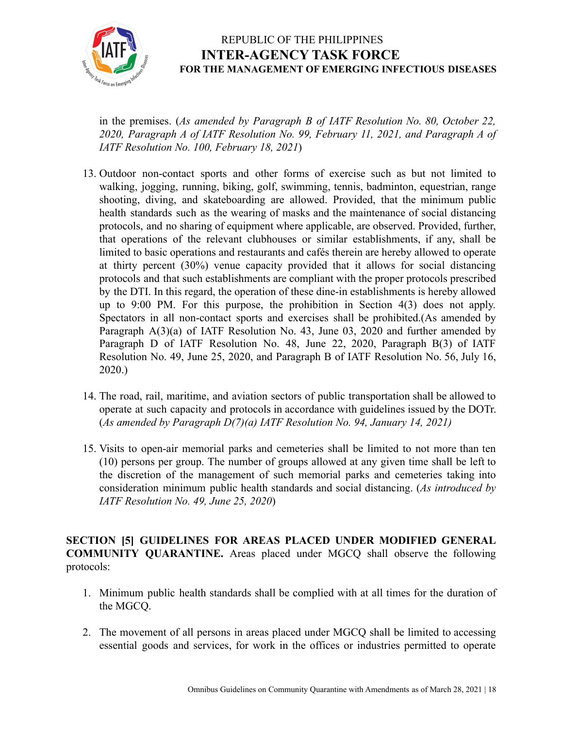

in the premises. (*As amended by Paragraph B of IATF Resolution No. 80, October 22, 2020, Paragraph A of IATF Resolution No. 99, February 11, 2021, and Paragraph A of IATF Resolution No. 100, February 18, 2021*)

- 13. Outdoor non-contact sports and other forms of exercise such as but not limited to walking, jogging, running, biking, golf, swimming, tennis, badminton, equestrian, range shooting, diving, and skateboarding are allowed. Provided, that the minimum public health standards such as the wearing of masks and the maintenance of social distancing protocols, and no sharing of equipment where applicable, are observed. Provided, further, that operations of the relevant clubhouses or similar establishments, if any, shall be limited to basic operations and restaurants and cafés therein are hereby allowed to operate at thirty percent (30%) venue capacity provided that it allows for social distancing protocols and that such establishments are compliant with the proper protocols prescribed by the DTI. In this regard, the operation of these dine-in establishments is hereby allowed up to 9:00 PM. For this purpose, the prohibition in Section 4(3) does not apply. Spectators in all non-contact sports and exercises shall be prohibited.(As amended by Paragraph A(3)(a) of IATF Resolution No. 43, June 03, 2020 and further amended by Paragraph D of IATF Resolution No. 48, June 22, 2020, Paragraph B(3) of IATF Resolution No. 49, June 25, 2020, and Paragraph B of IATF Resolution No. 56, July 16, 2020.)
- 14. The road, rail, maritime, and aviation sectors of public transportation shall be allowed to operate at such capacity and protocols in accordance with guidelines issued by the DOTr. (*As amended by Paragraph D(7)(a) IATF Resolution No. 94, January 14, 2021)*
- 15. Visits to open-air memorial parks and cemeteries shall be limited to not more than ten (10) persons per group. The number of groups allowed at any given time shall be left to the discretion of the management of such memorial parks and cemeteries taking into consideration minimum public health standards and social distancing. (*As introduced by IATF Resolution No. 49, June 25, 2020*)

**SECTION [5] GUIDELINES FOR AREAS PLACED UNDER MODIFIED GENERAL COMMUNITY QUARANTINE.** Areas placed under MGCQ shall observe the following protocols:

- 1. Minimum public health standards shall be complied with at all times for the duration of the MGCQ.
- 2. The movement of all persons in areas placed under MGCQ shall be limited to accessing essential goods and services, for work in the offices or industries permitted to operate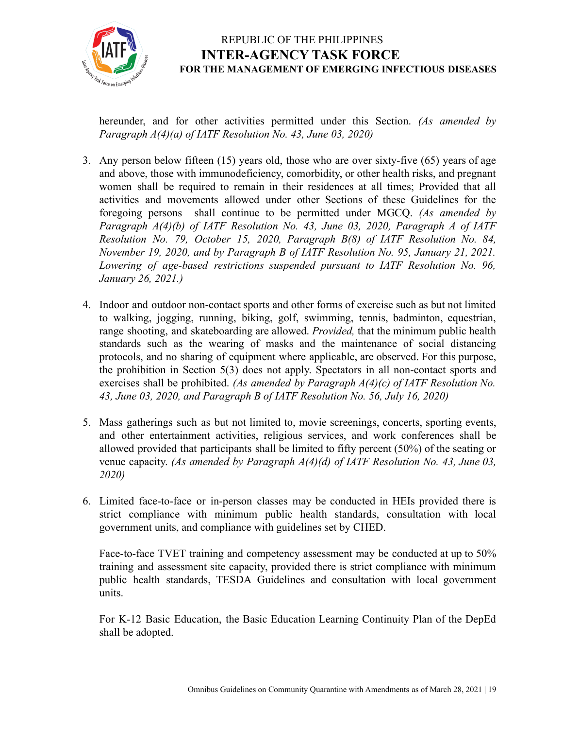

hereunder, and for other activities permitted under this Section. *(As amended by Paragraph A(4)(a) of IATF Resolution No. 43, June 03, 2020)*

- 3. Any person below fifteen (15) years old, those who are over sixty-five (65) years of age and above, those with immunodeficiency, comorbidity, or other health risks, and pregnant women shall be required to remain in their residences at all times; Provided that all activities and movements allowed under other Sections of these Guidelines for the foregoing persons shall continue to be permitted under MGCQ. *(As amended by Paragraph A(4)(b) of IATF Resolution No. 43, June 03, 2020, Paragraph A of IATF Resolution No. 79, October 15, 2020, Paragraph B(8) of IATF Resolution No. 84, November 19, 2020, and by Paragraph B of IATF Resolution No. 95, January 21, 2021. Lowering of age-based restrictions suspended pursuant to IATF Resolution No. 96, January 26, 2021.)*
- 4. Indoor and outdoor non-contact sports and other forms of exercise such as but not limited to walking, jogging, running, biking, golf, swimming, tennis, badminton, equestrian, range shooting, and skateboarding are allowed. *Provided,* that the minimum public health standards such as the wearing of masks and the maintenance of social distancing protocols, and no sharing of equipment where applicable, are observed. For this purpose, the prohibition in Section 5(3) does not apply. Spectators in all non-contact sports and exercises shall be prohibited. *(As amended by Paragraph A(4)(c) of IATF Resolution No. 43, June 03, 2020, and Paragraph B of IATF Resolution No. 56, July 16, 2020)*
- 5. Mass gatherings such as but not limited to, movie screenings, concerts, sporting events, and other entertainment activities, religious services, and work conferences shall be allowed provided that participants shall be limited to fifty percent (50%) of the seating or venue capacity. *(As amended by Paragraph A(4)(d) of IATF Resolution No. 43, June 03, 2020)*
- 6. Limited face-to-face or in-person classes may be conducted in HEIs provided there is strict compliance with minimum public health standards, consultation with local government units, and compliance with guidelines set by CHED.

Face-to-face TVET training and competency assessment may be conducted at up to 50% training and assessment site capacity, provided there is strict compliance with minimum public health standards, TESDA Guidelines and consultation with local government units.

For K-12 Basic Education, the Basic Education Learning Continuity Plan of the DepEd shall be adopted.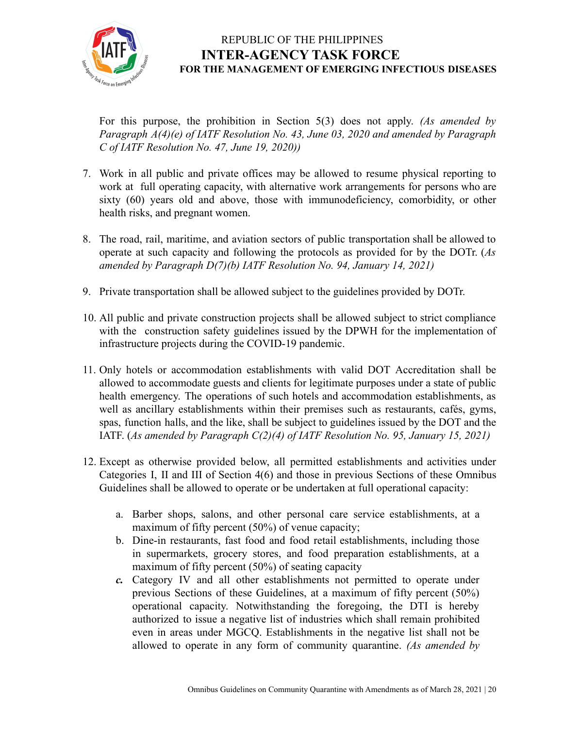

For this purpose, the prohibition in Section 5(3) does not apply. *(As amended by Paragraph A(4)(e) of IATF Resolution No. 43, June 03, 2020 and amended by Paragraph C of IATF Resolution No. 47, June 19, 2020))*

- 7. Work in all public and private offices may be allowed to resume physical reporting to work at full operating capacity, with alternative work arrangements for persons who are sixty (60) years old and above, those with immunodeficiency, comorbidity, or other health risks, and pregnant women.
- 8. The road, rail, maritime, and aviation sectors of public transportation shall be allowed to operate at such capacity and following the protocols as provided for by the DOTr. (*As amended by Paragraph D(7)(b) IATF Resolution No. 94, January 14, 2021)*
- 9. Private transportation shall be allowed subject to the guidelines provided by DOTr.
- 10. All public and private construction projects shall be allowed subject to strict compliance with the construction safety guidelines issued by the DPWH for the implementation of infrastructure projects during the COVID-19 pandemic.
- 11. Only hotels or accommodation establishments with valid DOT Accreditation shall be allowed to accommodate guests and clients for legitimate purposes under a state of public health emergency. The operations of such hotels and accommodation establishments, as well as ancillary establishments within their premises such as restaurants, cafés, gyms, spas, function halls, and the like, shall be subject to guidelines issued by the DOT and the IATF. (*As amended by Paragraph C(2)(4) of IATF Resolution No. 95, January 15, 2021)*
- 12. Except as otherwise provided below, all permitted establishments and activities under Categories I, II and III of Section 4(6) and those in previous Sections of these Omnibus Guidelines shall be allowed to operate or be undertaken at full operational capacity:
	- a. Barber shops, salons, and other personal care service establishments, at a maximum of fifty percent (50%) of venue capacity;
	- b. Dine-in restaurants, fast food and food retail establishments, including those in supermarkets, grocery stores, and food preparation establishments, at a maximum of fifty percent (50%) of seating capacity
	- *c.* Category IV and all other establishments not permitted to operate under previous Sections of these Guidelines, at a maximum of fifty percent (50%) operational capacity. Notwithstanding the foregoing, the DTI is hereby authorized to issue a negative list of industries which shall remain prohibited even in areas under MGCQ. Establishments in the negative list shall not be allowed to operate in any form of community quarantine. *(As amended by*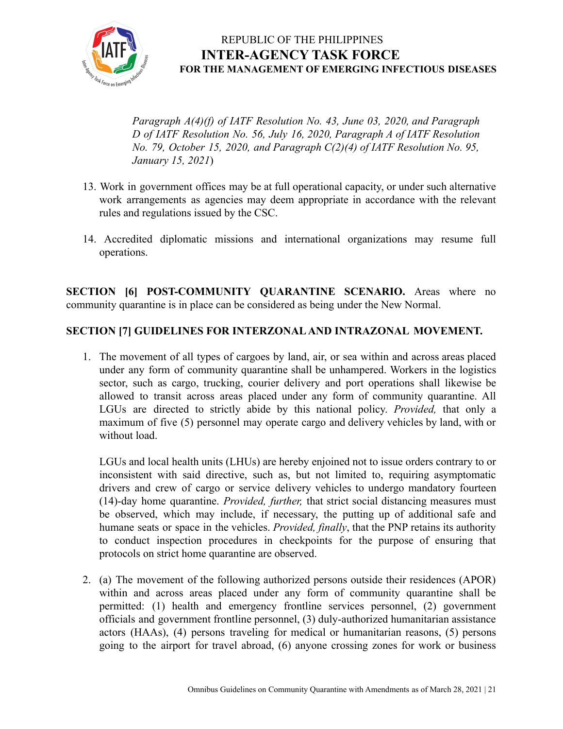

*Paragraph A(4)(f) of IATF Resolution No. 43, June 03, 2020, and Paragraph D of IATF Resolution No. 56, July 16, 2020, Paragraph A of IATF Resolution No. 79, October 15, 2020, and Paragraph C(2)(4) of IATF Resolution No. 95, January 15, 2021*)

- 13. Work in government offices may be at full operational capacity, or under such alternative work arrangements as agencies may deem appropriate in accordance with the relevant rules and regulations issued by the CSC.
- 14. Accredited diplomatic missions and international organizations may resume full operations.

**SECTION [6] POST-COMMUNITY QUARANTINE SCENARIO.** Areas where no community quarantine is in place can be considered as being under the New Normal.

#### **SECTION [7] GUIDELINES FOR INTERZONAL AND INTRAZONAL MOVEMENT.**

1. The movement of all types of cargoes by land, air, or sea within and across areas placed under any form of community quarantine shall be unhampered. Workers in the logistics sector, such as cargo, trucking, courier delivery and port operations shall likewise be allowed to transit across areas placed under any form of community quarantine. All LGUs are directed to strictly abide by this national policy. *Provided,* that only a maximum of five (5) personnel may operate cargo and delivery vehicles by land, with or without load.

LGUs and local health units (LHUs) are hereby enjoined not to issue orders contrary to or inconsistent with said directive, such as, but not limited to, requiring asymptomatic drivers and crew of cargo or service delivery vehicles to undergo mandatory fourteen (14)-day home quarantine. *Provided, further,* that strict social distancing measures must be observed, which may include, if necessary, the putting up of additional safe and humane seats or space in the vehicles. *Provided, finally*, that the PNP retains its authority to conduct inspection procedures in checkpoints for the purpose of ensuring that protocols on strict home quarantine are observed.

2. (a) The movement of the following authorized persons outside their residences (APOR) within and across areas placed under any form of community quarantine shall be permitted: (1) health and emergency frontline services personnel, (2) government officials and government frontline personnel, (3) duly-authorized humanitarian assistance actors (HAAs), (4) persons traveling for medical or humanitarian reasons, (5) persons going to the airport for travel abroad, (6) anyone crossing zones for work or business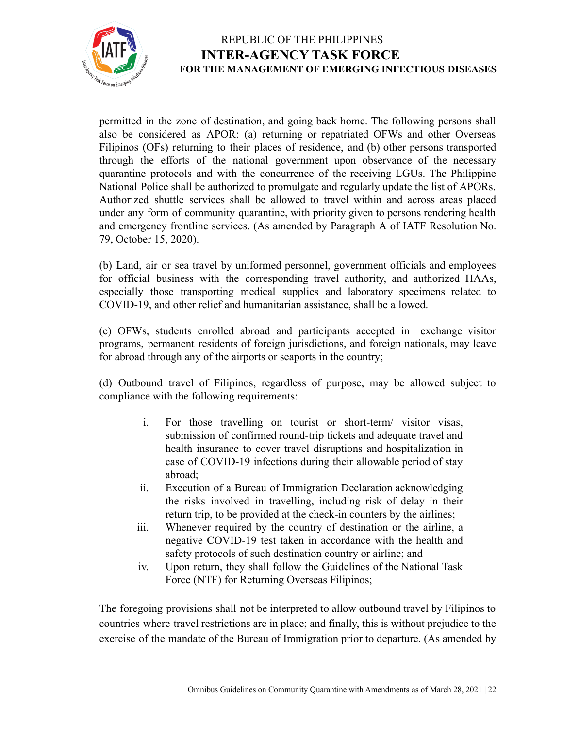

permitted in the zone of destination, and going back home. The following persons shall also be considered as APOR: (a) returning or repatriated OFWs and other Overseas Filipinos (OFs) returning to their places of residence, and (b) other persons transported through the efforts of the national government upon observance of the necessary quarantine protocols and with the concurrence of the receiving LGUs. The Philippine National Police shall be authorized to promulgate and regularly update the list of APORs. Authorized shuttle services shall be allowed to travel within and across areas placed under any form of community quarantine, with priority given to persons rendering health and emergency frontline services. (As amended by Paragraph A of IATF Resolution No. 79, October 15, 2020).

(b) Land, air or sea travel by uniformed personnel, government officials and employees for official business with the corresponding travel authority, and authorized HAAs, especially those transporting medical supplies and laboratory specimens related to COVID-19, and other relief and humanitarian assistance, shall be allowed.

(c) OFWs, students enrolled abroad and participants accepted in exchange visitor programs, permanent residents of foreign jurisdictions, and foreign nationals, may leave for abroad through any of the airports or seaports in the country;

(d) Outbound travel of Filipinos, regardless of purpose, may be allowed subject to compliance with the following requirements:

- i. For those travelling on tourist or short-term/ visitor visas, submission of confirmed round-trip tickets and adequate travel and health insurance to cover travel disruptions and hospitalization in case of COVID-19 infections during their allowable period of stay abroad;
- ii. Execution of a Bureau of Immigration Declaration acknowledging the risks involved in travelling, including risk of delay in their return trip, to be provided at the check-in counters by the airlines;
- iii. Whenever required by the country of destination or the airline, a negative COVID-19 test taken in accordance with the health and safety protocols of such destination country or airline; and
- iv. Upon return, they shall follow the Guidelines of the National Task Force (NTF) for Returning Overseas Filipinos;

The foregoing provisions shall not be interpreted to allow outbound travel by Filipinos to countries where travel restrictions are in place; and finally, this is without prejudice to the exercise of the mandate of the Bureau of Immigration prior to departure. (As amended by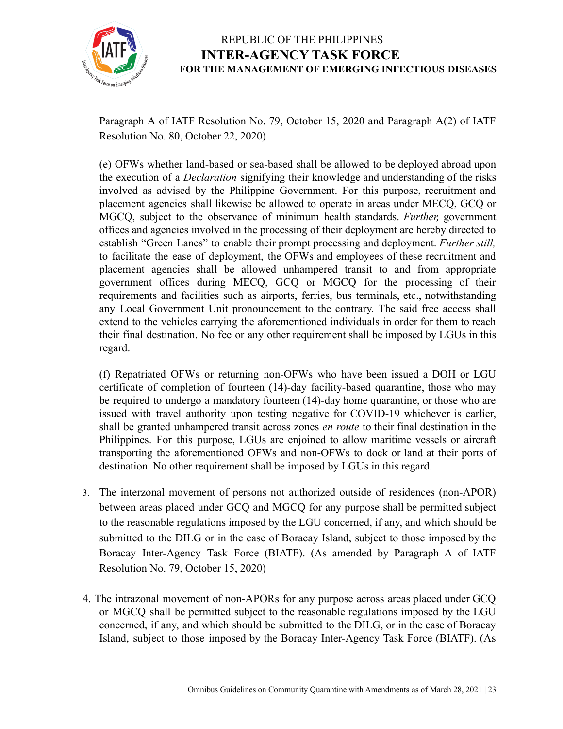

Paragraph A of IATF Resolution No. 79, October 15, 2020 and Paragraph A(2) of IATF Resolution No. 80, October 22, 2020)

(e) OFWs whether land-based or sea-based shall be allowed to be deployed abroad upon the execution of a *Declaration* signifying their knowledge and understanding of the risks involved as advised by the Philippine Government. For this purpose, recruitment and placement agencies shall likewise be allowed to operate in areas under MECQ, GCQ or MGCQ, subject to the observance of minimum health standards. *Further,* government offices and agencies involved in the processing of their deployment are hereby directed to establish "Green Lanes" to enable their prompt processing and deployment. *Further still,* to facilitate the ease of deployment, the OFWs and employees of these recruitment and placement agencies shall be allowed unhampered transit to and from appropriate government offices during MECQ, GCQ or MGCQ for the processing of their requirements and facilities such as airports, ferries, bus terminals, etc., notwithstanding any Local Government Unit pronouncement to the contrary. The said free access shall extend to the vehicles carrying the aforementioned individuals in order for them to reach their final destination. No fee or any other requirement shall be imposed by LGUs in this regard.

(f) Repatriated OFWs or returning non-OFWs who have been issued a DOH or LGU certificate of completion of fourteen (14)-day facility-based quarantine, those who may be required to undergo a mandatory fourteen (14)-day home quarantine, or those who are issued with travel authority upon testing negative for COVID-19 whichever is earlier, shall be granted unhampered transit across zones *en route* to their final destination in the Philippines. For this purpose, LGUs are enjoined to allow maritime vessels or aircraft transporting the aforementioned OFWs and non-OFWs to dock or land at their ports of destination. No other requirement shall be imposed by LGUs in this regard.

- 3. The interzonal movement of persons not authorized outside of residences (non-APOR) between areas placed under GCQ and MGCQ for any purpose shall be permitted subject to the reasonable regulations imposed by the LGU concerned, if any, and which should be submitted to the DILG or in the case of Boracay Island, subject to those imposed by the Boracay Inter-Agency Task Force (BIATF). (As amended by Paragraph A of IATF Resolution No. 79, October 15, 2020)
- 4. The intrazonal movement of non-APORs for any purpose across areas placed under GCQ or MGCQ shall be permitted subject to the reasonable regulations imposed by the LGU concerned, if any, and which should be submitted to the DILG, or in the case of Boracay Island, subject to those imposed by the Boracay Inter-Agency Task Force (BIATF). (As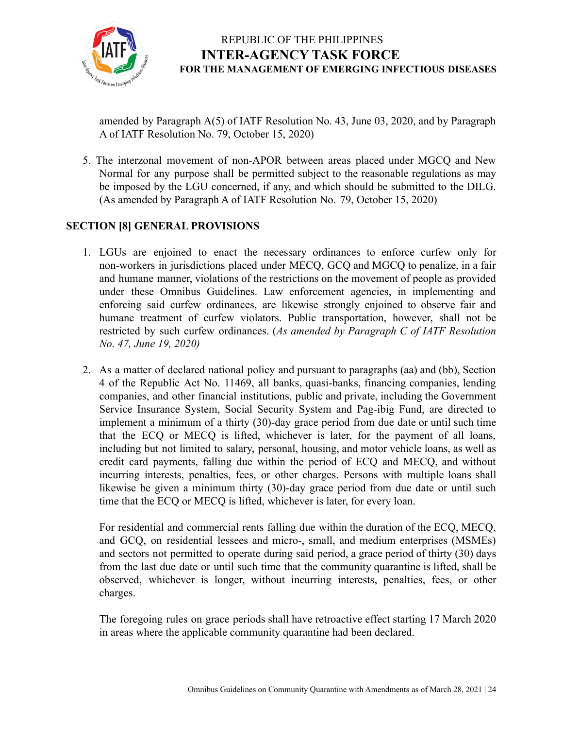

amended by Paragraph A(5) of IATF Resolution No. 43, June 03, 2020, and by Paragraph A of IATF Resolution No. 79, October 15, 2020)

5. The interzonal movement of non-APOR between areas placed under MGCQ and New Normal for any purpose shall be permitted subject to the reasonable regulations as may be imposed by the LGU concerned, if any, and which should be submitted to the DILG. (As amended by Paragraph A of IATF Resolution No. 79, October 15, 2020)

#### **SECTION [8] GENERAL PROVISIONS**

- 1. LGUs are enjoined to enact the necessary ordinances to enforce curfew only for non-workers in jurisdictions placed under MECQ, GCQ and MGCQ to penalize, in a fair and humane manner, violations of the restrictions on the movement of people as provided under these Omnibus Guidelines. Law enforcement agencies, in implementing and enforcing said curfew ordinances, are likewise strongly enjoined to observe fair and humane treatment of curfew violators. Public transportation, however, shall not be restricted by such curfew ordinances. (*As amended by Paragraph C of IATF Resolution No. 47, June 19, 2020)*
- 2. As a matter of declared national policy and pursuant to paragraphs (aa) and (bb), Section 4 of the Republic Act No. 11469, all banks, quasi-banks, financing companies, lending companies, and other financial institutions, public and private, including the Government Service Insurance System, Social Security System and Pag-ibig Fund, are directed to implement a minimum of a thirty (30)-day grace period from due date or until such time that the ECQ or MECQ is lifted, whichever is later, for the payment of all loans, including but not limited to salary, personal, housing, and motor vehicle loans, as well as credit card payments, falling due within the period of ECQ and MECQ, and without incurring interests, penalties, fees, or other charges. Persons with multiple loans shall likewise be given a minimum thirty (30)-day grace period from due date or until such time that the ECQ or MECQ is lifted, whichever is later, for every loan.

For residential and commercial rents falling due within the duration of the ECQ, MECQ, and GCQ, on residential lessees and micro-, small, and medium enterprises (MSMEs) and sectors not permitted to operate during said period, a grace period of thirty (30) days from the last due date or until such time that the community quarantine is lifted, shall be observed, whichever is longer, without incurring interests, penalties, fees, or other charges.

The foregoing rules on grace periods shall have retroactive effect starting 17 March 2020 in areas where the applicable community quarantine had been declared.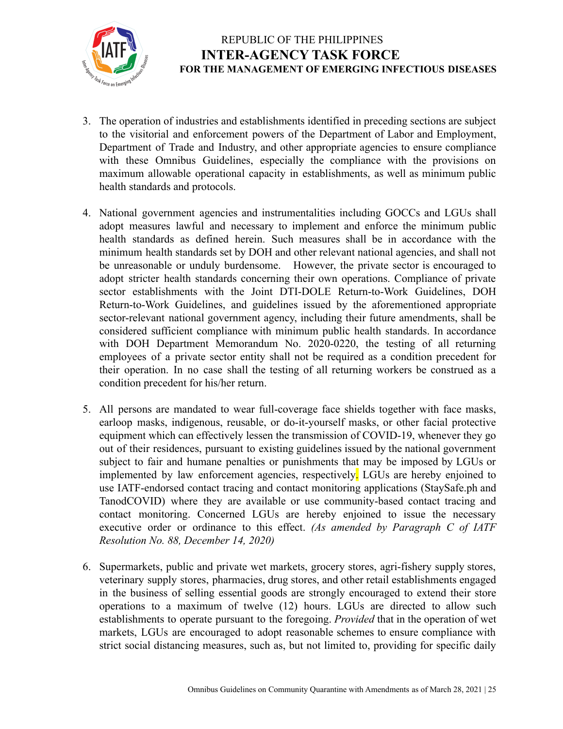

- 3. The operation of industries and establishments identified in preceding sections are subject to the visitorial and enforcement powers of the Department of Labor and Employment, Department of Trade and Industry, and other appropriate agencies to ensure compliance with these Omnibus Guidelines, especially the compliance with the provisions on maximum allowable operational capacity in establishments, as well as minimum public health standards and protocols.
- 4. National government agencies and instrumentalities including GOCCs and LGUs shall adopt measures lawful and necessary to implement and enforce the minimum public health standards as defined herein. Such measures shall be in accordance with the minimum health standards set by DOH and other relevant national agencies, and shall not be unreasonable or unduly burdensome. However, the private sector is encouraged to adopt stricter health standards concerning their own operations. Compliance of private sector establishments with the Joint DTI-DOLE Return-to-Work Guidelines, DOH Return-to-Work Guidelines, and guidelines issued by the aforementioned appropriate sector-relevant national government agency, including their future amendments, shall be considered sufficient compliance with minimum public health standards. In accordance with DOH Department Memorandum No. 2020-0220, the testing of all returning employees of a private sector entity shall not be required as a condition precedent for their operation. In no case shall the testing of all returning workers be construed as a condition precedent for his/her return.
- 5. All persons are mandated to wear full-coverage face shields together with face masks, earloop masks, indigenous, reusable, or do-it-yourself masks, or other facial protective equipment which can effectively lessen the transmission of COVID-19, whenever they go out of their residences, pursuant to existing guidelines issued by the national government subject to fair and humane penalties or punishments that may be imposed by LGUs or implemented by law enforcement agencies, respectively. LGUs are hereby enjoined to use IATF-endorsed contact tracing and contact monitoring applications (StaySafe.ph and TanodCOVID) where they are available or use community-based contact tracing and contact monitoring. Concerned LGUs are hereby enjoined to issue the necessary executive order or ordinance to this effect. *(As amended by Paragraph C of IATF Resolution No. 88, December 14, 2020)*
- 6. Supermarkets, public and private wet markets, grocery stores, agri-fishery supply stores, veterinary supply stores, pharmacies, drug stores, and other retail establishments engaged in the business of selling essential goods are strongly encouraged to extend their store operations to a maximum of twelve (12) hours. LGUs are directed to allow such establishments to operate pursuant to the foregoing. *Provided* that in the operation of wet markets, LGUs are encouraged to adopt reasonable schemes to ensure compliance with strict social distancing measures, such as, but not limited to, providing for specific daily